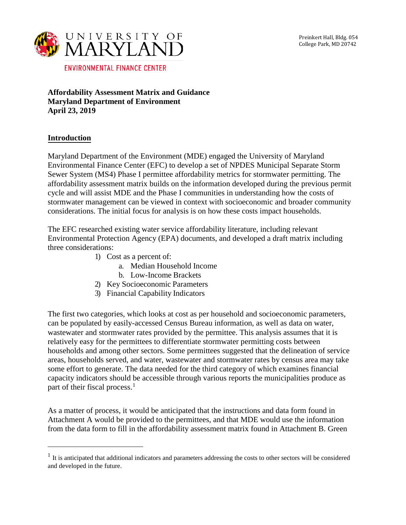

**Affordability Assessment Matrix and Guidance Maryland Department of Environment April 23, 2019** 

## **Introduction**

Maryland Department of the Environment (MDE) engaged the University of Maryland Environmental Finance Center (EFC) to develop a set of NPDES Municipal Separate Storm Sewer System (MS4) Phase I permittee affordability metrics for stormwater permitting. The affordability assessment matrix builds on the information developed during the previous permit cycle and will assist MDE and the Phase I communities in understanding how the costs of stormwater management can be viewed in context with socioeconomic and broader community considerations. The initial focus for analysis is on how these costs impact households.

The EFC researched existing water service affordability literature, including relevant Environmental Protection Agency (EPA) documents, and developed a draft matrix including three considerations:

- 1) Cost as a percent of:
	- a. Median Household Income
	- b. Low-Income Brackets
- 2) Key Socioeconomic Parameters
- 3) Financial Capability Indicators

The first two categories, which looks at cost as per household and socioeconomic parameters, can be populated by easily-accessed Census Bureau information, as well as data on water, wastewater and stormwater rates provided by the permittee. This analysis assumes that it is relatively easy for the permittees to differentiate stormwater permitting costs between households and among other sectors. Some permittees suggested that the delineation of service areas, households served, and water, wastewater and stormwater rates by census area may take some effort to generate. The data needed for the third category of which examines financial capacity indicators should be accessible through various reports the municipalities produce as part of their fiscal process.<sup>[1](#page-0-0)</sup>

As a matter of process, it would be anticipated that the instructions and data form found in Attachment A would be provided to the permittees, and that MDE would use the information from the data form to fill in the affordability assessment matrix found in Attachment B. Green

<span id="page-0-0"></span> $<sup>1</sup>$  It is anticipated that additional indicators and parameters addressing the costs to other sectors will be considered</sup> and developed in the future.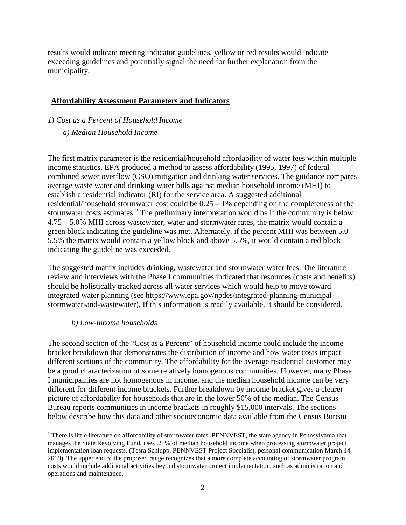results would indicate meeting indicator guidelines, yellow or red results would indicate exceeding guidelines and potentially signal the need for further explanation from the municipality.

#### **Affordability Assessment Parameters and Indicators**

# *1) Cost as a Percent of Household Income a) Median Household Income*

The first matrix parameter is the residential/household affordability of water fees within multiple income statistics. EPA produced a method to assess affordability (1995, 1997) of federal combined sewer overflow (CSO) mitigation and drinking water services. The guidance compares average waste water and drinking water bills against median household income (MHI) to establish a residential indicator (RI) for the service area. A suggested additional residential/household stormwater cost could be 0.25 – 1% depending on the completeness of the stormwater costs estimates.<sup>[2](#page-1-0)</sup> The preliminary interpretation would be if the community is below 4.75 – 5.0% MHI across wastewater, water and stormwater rates, the matrix would contain a green block indicating the guideline was met. Alternately, if the percent MHI was between 5.0 – 5.5% the matrix would contain a yellow block and above 5.5%, it would contain a red block indicating the guideline was exceeded.

The suggested matrix includes drinking, wastewater and stormwater water fees. The literature review and interviews with the Phase I communities indicated that resources (costs and benefits) should be holistically tracked across all water services which would help to move toward integrated water planning (see https:/[/www.epa.gov/npdes/integrated-planning-municipal](http://www.epa.gov/npdes/integrated-planning-municipal-stormwater-and-wastewater))[stormwater-and-wastewater\).](http://www.epa.gov/npdes/integrated-planning-municipal-stormwater-and-wastewater)) If this information is readily available, it should be considered.

#### *b) Low-income households*

The second section of the "Cost as a Percent" of household income could include the income bracket breakdown that demonstrates the distribution of income and how water costs impact different sections of the community. The affordability for the average residential customer may be a good characterization of some relatively homogenous communities. However, many Phase I municipalities are not homogenous in income, and the median household income can be very different for different income brackets. Further breakdown by income bracket gives a clearer picture of affordability for households that are in the lower 50% of the median. The Census Bureau reports communities in income brackets in roughly \$15,000 intervals. The sections below describe how this data and other socioeconomic data available from the Census Bureau

<span id="page-1-0"></span><sup>&</sup>lt;sup>2</sup> There is little literature on affordability of stormwater rates. PENNVEST, the state agency in Pennsylvania that manages the State Revolving Fund, uses .25% of median household income when processing stormwater project implementation loan requests. (Tesra Schlupp, PENNVEST Project Specialist, personal communication March 14, 2019). The upper end of the proposed range recognizes that a more complete accounting of stormwater program costs would include additional activities beyond stormwater project implementation, such as administration and operations and maintenance.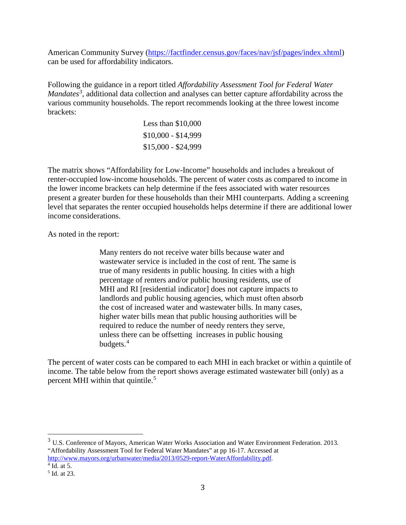American Community Survey [\(https://factfinder.census.gov/faces/nav/jsf/pages/index.xhtml\)](https://factfinder.census.gov/faces/nav/jsf/pages/index.xhtml) can be used for affordability indicators.

Following the guidance in a report titled *Affordability Assessment Tool for Federal Water Mandates[3](#page-2-0)* , additional data collection and analyses can better capture affordability across the various community households. The report recommends looking at the three lowest income brackets:

> Less than \$10,000 \$10,000 - \$14,999 \$15,000 - \$24,999

The matrix shows "Affordability for Low-Income" households and includes a breakout of renter-occupied low-income households. The percent of water costs as compared to income in the lower income brackets can help determine if the fees associated with water resources present a greater burden for these households than their MHI counterparts. Adding a screening level that separates the renter occupied households helps determine if there are additional lower income considerations.

As noted in the report:

Many renters do not receive water bills because water and wastewater service is included in the cost of rent. The same is true of many residents in public housing. In cities with a high percentage of renters and/or public housing residents, use of MHI and RI [residential indicator] does not capture impacts to landlords and public housing agencies, which must often absorb the cost of increased water and wastewater bills. In many cases, higher water bills mean that public housing authorities will be required to reduce the number of needy renters they serve, unless there can be offsetting increases in public housing budgets.[4](#page-2-1)

The percent of water costs can be compared to each MHI in each bracket or within a quintile of income. The table below from the report shows average estimated wastewater bill (only) as a percent MHI within that quintile.<sup>[5](#page-2-2)</sup>

<span id="page-2-0"></span><sup>3</sup> U.S. Conference of Mayors, American Water Works Association and Water Environment Federation. 2013. "Affordability Assessment Tool for Federal Water Mandates" at pp 16-17. Accessed at [http://www.mayors.org/urbanwater/media/2013/0529-report-WaterAffordability.pdf.](http://www.mayors.org/urbanwater/media/2013/0529-report-WaterAffordability.pdf)

<span id="page-2-1"></span> $\overline{4}$  Id. at 5.

<span id="page-2-2"></span><sup>5</sup> Id. at 23.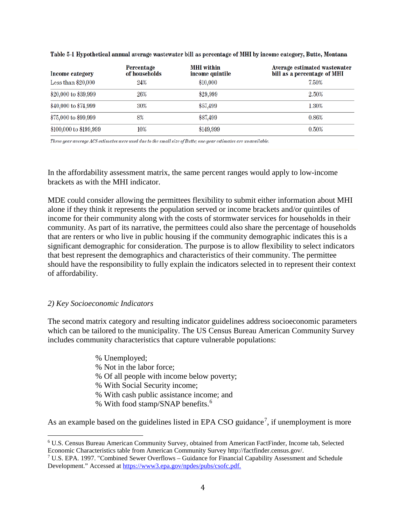| Income category        | Percentage<br>of households | <b>MHI</b> within<br>income quintile | Average estimated wastewater<br>bill as a percentage of MHI |
|------------------------|-----------------------------|--------------------------------------|-------------------------------------------------------------|
| Less than $$20,000$    | 24%                         | \$10,000                             | 7.50%                                                       |
| \$20,000 to \$39,999   | 26%                         | \$29,999                             | 2.50%                                                       |
| \$40,000 to \$74,999   | 30%                         | \$57,499                             | 1.30%                                                       |
| \$75,000 to \$99,999   | 8%                          | \$87,499                             | 0.86%                                                       |
| \$100,000 to \$199,999 | 10%                         | \$149,999                            | 0.50%                                                       |

Table 5-1 Hypothetical annual average wastewater bill as percentage of MHI by income category, Butte, Montana

Three-year average ACS estimates were used due to the small size of Butte; one-year estimates are unavailable.

In the affordability assessment matrix, the same percent ranges would apply to low-income brackets as with the MHI indicator.

MDE could consider allowing the permittees flexibility to submit either information about MHI alone if they think it represents the population served or income brackets and/or quintiles of income for their community along with the costs of stormwater services for households in their community. As part of its narrative, the permittees could also share the percentage of households that are renters or who live in public housing if the community demographic indicates this is a significant demographic for consideration. The purpose is to allow flexibility to select indicators that best represent the demographics and characteristics of their community. The permittee should have the responsibility to fully explain the indicators selected in to represent their context of affordability.

#### *2) Key Socioeconomic Indicators*

The second matrix category and resulting indicator guidelines address socioeconomic parameters which can be tailored to the municipality. The US Census Bureau American Community Survey includes community characteristics that capture vulnerable populations:

- % Unemployed;
- % Not in the labor force;
- % Of all people with income below poverty;
- % With Social Security income;
- % With cash public assistance income; and
- % With food stamp/SNAP benefits.<sup>[6](#page-3-0)</sup>

As an example based on the guidelines listed in EPA CSO guidance<sup>[7](#page-3-1)</sup>, if unemployment is more

<span id="page-3-0"></span><sup>6</sup> U.S. Census Bureau American Community Survey, obtained from American FactFinder, Income tab, Selected Economic Characteristics table from American Community Survey http://factfinder.census.gov/.

<span id="page-3-1"></span><sup>7</sup> U.S. EPA. 1997. "Combined Sewer Overflows – Guidance for Financial Capability Assessment and Schedule Development." Accessed at [https://www3.epa.gov/npdes/pubs/csofc.pdf.](https://www3.epa.gov/npdes/pubs/csofc.pdf)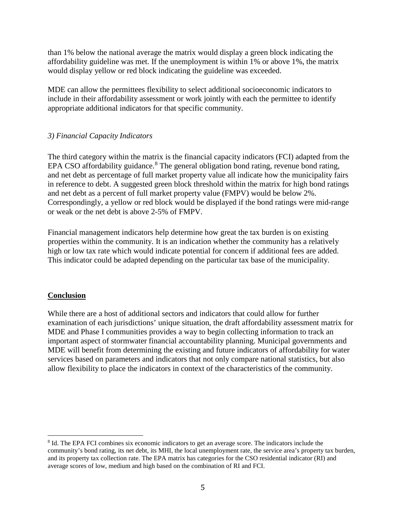than 1% below the national average the matrix would display a green block indicating the affordability guideline was met. If the unemployment is within 1% or above 1%, the matrix would display yellow or red block indicating the guideline was exceeded.

MDE can allow the permittees flexibility to select additional socioeconomic indicators to include in their affordability assessment or work jointly with each the permittee to identify appropriate additional indicators for that specific community.

## *3) Financial Capacity Indicators*

The third category within the matrix is the financial capacity indicators (FCI) adapted from the EPA CSO affordability guidance.<sup>[8](#page-4-0)</sup> The general obligation bond rating, revenue bond rating, and net debt as percentage of full market property value all indicate how the municipality fairs in reference to debt. A suggested green block threshold within the matrix for high bond ratings and net debt as a percent of full market property value (FMPV) would be below 2%. Correspondingly, a yellow or red block would be displayed if the bond ratings were mid-range or weak or the net debt is above 2-5% of FMPV.

Financial management indicators help determine how great the tax burden is on existing properties within the community. It is an indication whether the community has a relatively high or low tax rate which would indicate potential for concern if additional fees are added. This indicator could be adapted depending on the particular tax base of the municipality.

#### **Conclusion**

While there are a host of additional sectors and indicators that could allow for further examination of each jurisdictions' unique situation, the draft affordability assessment matrix for MDE and Phase I communities provides a way to begin collecting information to track an important aspect of stormwater financial accountability planning. Municipal governments and MDE will benefit from determining the existing and future indicators of affordability for water services based on parameters and indicators that not only compare national statistics, but also allow flexibility to place the indicators in context of the characteristics of the community.

<span id="page-4-0"></span><sup>8</sup> Id. The EPA FCI combines six economic indicators to get an average score. The indicators include the community's bond rating, its net debt, its MHI, the local unemployment rate, the service area's property tax burden, and its property tax collection rate. The EPA matrix has categories for the CSO residential indicator (RI) and average scores of low, medium and high based on the combination of RI and FCI.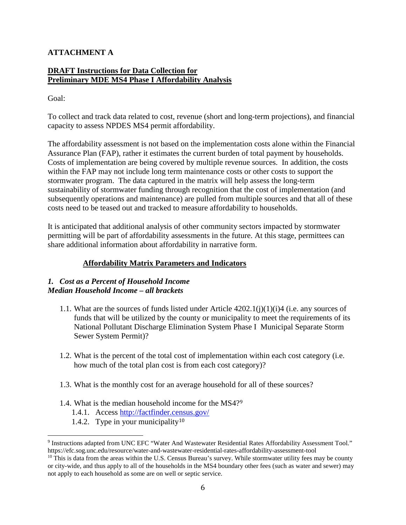# **ATTACHMENT A**

## **DRAFT Instructions for Data Collection for Preliminary MDE MS4 Phase I Affordability Analysis**

Goal:

To collect and track data related to cost, revenue (short and long-term projections), and financial capacity to assess NPDES MS4 permit affordability.

The affordability assessment is not based on the implementation costs alone within the Financial Assurance Plan (FAP), rather it estimates the current burden of total payment by households. Costs of implementation are being covered by multiple revenue sources. In addition, the costs within the FAP may not include long term maintenance costs or other costs to support the stormwater program. The data captured in the matrix will help assess the long-term sustainability of stormwater funding through recognition that the cost of implementation (and subsequently operations and maintenance) are pulled from multiple sources and that all of these costs need to be teased out and tracked to measure affordability to households.

It is anticipated that additional analysis of other community sectors impacted by stormwater permitting will be part of affordability assessments in the future. At this stage, permittees can share additional information about affordability in narrative form.

## **Affordability Matrix Parameters and Indicators**

## *1. Cost as a Percent of Household Income Median Household Income – all brackets*

- 1.1. What are the sources of funds listed under Article  $4202.1(i)(1)(i)4$  (i.e. any sources of funds that will be utilized by the county or municipality to meet the requirements of its National Pollutant Discharge Elimination System Phase I Municipal Separate Storm Sewer System Permit)?
- 1.2. What is the percent of the total cost of implementation within each cost category (i.e. how much of the total plan cost is from each cost category)?
- 1.3. What is the monthly cost for an average household for all of these sources?
- 1.4. What is the median household income for the MS4?[9](#page-5-0)
	- 1.4.1. Access<http://factfinder.census.gov/>
	- 1.4.2. Type in your municipality<sup>10</sup>

<span id="page-5-0"></span><sup>9</sup> Instructions adapted from UNC EFC "Water And Wastewater Residential Rates Affordability Assessment Tool." https://efc.sog.unc.edu/resource/water-and-wastewater-residential-rates-affordability-assessment-tool

<span id="page-5-1"></span> $10$  This is data from the areas within the U.S. Census Bureau's survey. While stormwater utility fees may be county or city-wide, and thus apply to all of the households in the MS4 boundary other fees (such as water and sewer) may not apply to each household as some are on well or septic service.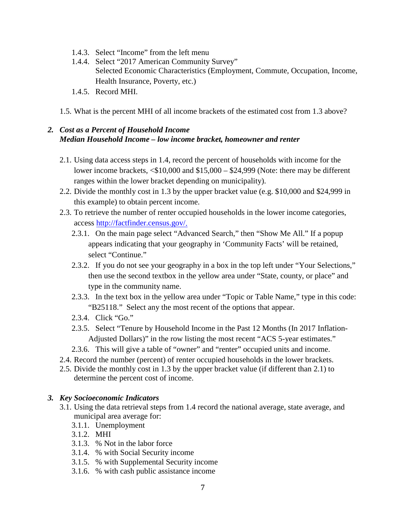- 1.4.3. Select "Income" from the left menu
- 1.4.4. Select "2017 American Community Survey" Selected Economic Characteristics (Employment, Commute, Occupation, Income, Health Insurance, Poverty, etc.)
- 1.4.5. Record MHI.
- 1.5. What is the percent MHI of all income brackets of the estimated cost from 1.3 above?

#### *2. Cost as a Percent of Household Income Median Household Income – low income bracket, homeowner and renter*

- 2.1. Using data access steps in 1.4, record the percent of households with income for the lower income brackets, <\$10,000 and \$15,000 – \$24,999 (Note: there may be different ranges within the lower bracket depending on municipality).
- 2.2. Divide the monthly cost in 1.3 by the upper bracket value (e.g. \$10,000 and \$24,999 in this example) to obtain percent income.
- 2.3. To retrieve the number of renter occupied households in the lower income categories, access [http://factfinder.census.gov/.](http://factfinder.census.gov/)
	- 2.3.1. On the main page select "Advanced Search," then "Show Me All." If a popup appears indicating that your geography in 'Community Facts' will be retained, select "Continue."
	- 2.3.2. If you do not see your geography in a box in the top left under "Your Selections," then use the second textbox in the yellow area under "State, county, or place" and type in the community name.
	- 2.3.3. In the text box in the yellow area under "Topic or Table Name," type in this code: "B25118." Select any the most recent of the options that appear.
	- 2.3.4. Click "Go."
	- 2.3.5. Select "Tenure by Household Income in the Past 12 Months (In 2017 Inflation-Adjusted Dollars)" in the row listing the most recent "ACS 5-year estimates."
	- 2.3.6. This will give a table of "owner" and "renter" occupied units and income.
- 2.4. Record the number (percent) of renter occupied households in the lower brackets.
- 2.5. Divide the monthly cost in 1.3 by the upper bracket value (if different than 2.1) to determine the percent cost of income.

#### *3. Key Socioeconomic Indicators*

- 3.1. Using the data retrieval steps from 1.4 record the national average, state average, and municipal area average for:
	- 3.1.1. Unemployment
	- 3.1.2. MHI
	- 3.1.3. % Not in the labor force
	- 3.1.4. % with Social Security income
	- 3.1.5. % with Supplemental Security income
	- 3.1.6. % with cash public assistance income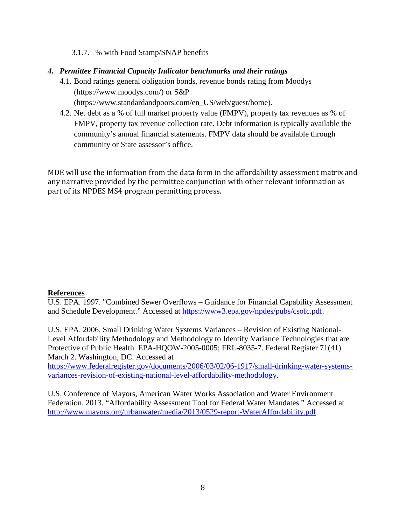3.1.7. % with Food Stamp/SNAP benefits

## *4. Permittee Financial Capacity Indicator benchmarks and their ratings*

- 4.1. Bond ratings general obligation bonds, revenue bonds rating from Moodys (https://www.moodys.com/) or S&P (https://www.standardandpoors.com/en\_US/web/guest/home).
- 4.2. Net debt as a % of full market property value (FMPV), property tax revenues as % of FMPV, property tax revenue collection rate. Debt information is typically available the community's annual financial statements. FMPV data should be available through community or State assessor's office.

MDE will use the information from the data form in the affordability assessment matrix and any narrative provided by the permittee conjunction with other relevant information as part of its NPDES MS4 program permitting process.

## **References**

U.S. EPA. 1997. "Combined Sewer Overflows – Guidance for Financial Capability Assessment and Schedule Development." Accessed at [https://www3.epa.gov/npdes/pubs/csofc.pdf.](https://www3.epa.gov/npdes/pubs/csofc.pdf)

U.S. EPA. 2006. Small Drinking Water Systems Variances – Revision of Existing National-Level Affordability Methodology and Methodology to Identify Variance Technologies that are Protective of Public Health. EPA-HQOW-2005-0005; FRL-8035-7. Federal Register 71(41). March 2. Washington, DC. Accessed at

[https://www.federalregister.gov/documents/2006/03/02/06-1917/small-drinking-water-systems](https://www.federalregister.gov/documents/2006/03/02/06-1917/small-drinking-water-systems-variances-revision-of-existing-national-level-affordability-methodology)[variances-revision-of-existing-national-level-affordability-methodology.](https://www.federalregister.gov/documents/2006/03/02/06-1917/small-drinking-water-systems-variances-revision-of-existing-national-level-affordability-methodology)

U.S. Conference of Mayors, American Water Works Association and Water Environment Federation. 2013. "Affordability Assessment Tool for Federal Water Mandates." Accessed at [http://www.mayors.org/urbanwater/media/2013/0529-report-WaterAffordability.pdf.](http://www.mayors.org/urbanwater/media/2013/0529-report-WaterAffordability.pdf)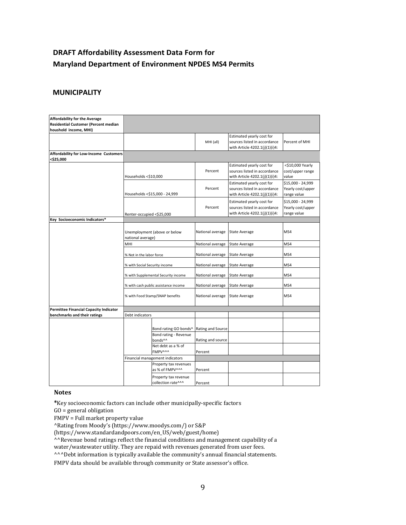# **DRAFT Affordability Assessment Data Form for Maryland Department of Environment NPDES MS4 Permits**

#### **MUNICIPALITY**

| <b>Affordability for the Average</b><br>Residential Customer (Percent median<br>houshold income, MHI) |                                                                                    |                                                                                                                     |                   |                                                                                             |                                                       |  |  |
|-------------------------------------------------------------------------------------------------------|------------------------------------------------------------------------------------|---------------------------------------------------------------------------------------------------------------------|-------------------|---------------------------------------------------------------------------------------------|-------------------------------------------------------|--|--|
|                                                                                                       |                                                                                    |                                                                                                                     | MHI (all)         | Estimated yearly cost for<br>sources listed in accordance<br>with Article 4202.1(j)(1)(i)4: | Percent of MHI                                        |  |  |
| Affordability for Low-Income Customers<br><\$25,000                                                   |                                                                                    |                                                                                                                     |                   |                                                                                             |                                                       |  |  |
|                                                                                                       | Households <\$10,000<br>Households <\$15,000 - 24,999<br>Renter-occupied <\$25,000 |                                                                                                                     | Percent           | Estimated yearly cost for<br>sources listed in accordance<br>with Article 4202.1(j)(1)(i)4: | <\$10,000 Yearly<br>cost/upper range<br>value         |  |  |
|                                                                                                       |                                                                                    |                                                                                                                     | Percent           | Estimated yearly cost for<br>sources listed in accordance<br>with Article 4202.1(j)(1)(i)4: | \$15,000 - 24,999<br>Yearly cost/upper<br>range value |  |  |
|                                                                                                       |                                                                                    |                                                                                                                     | Percent           | Estimated yearly cost for<br>sources listed in accordance<br>with Article 4202.1(j)(1)(i)4: | \$15,000 - 24,999<br>Yearly cost/upper<br>range value |  |  |
| Key Socioeconomic Indicators*                                                                         |                                                                                    |                                                                                                                     |                   |                                                                                             |                                                       |  |  |
|                                                                                                       | Unemployment (above or below<br>national average)                                  |                                                                                                                     | National average  | <b>State Average</b>                                                                        | MS4                                                   |  |  |
|                                                                                                       | MHI                                                                                |                                                                                                                     | National average  | <b>State Average</b>                                                                        | MS4                                                   |  |  |
|                                                                                                       | % Not in the labor force<br>% with Social Security income                          |                                                                                                                     | National average  | <b>State Average</b>                                                                        | MS4                                                   |  |  |
|                                                                                                       |                                                                                    |                                                                                                                     | National average  | <b>State Average</b>                                                                        | MS4                                                   |  |  |
|                                                                                                       |                                                                                    | National average<br>% with Supplemental Security income<br>National average<br>% with cash public assistance income |                   | <b>State Average</b>                                                                        | MS4                                                   |  |  |
|                                                                                                       |                                                                                    |                                                                                                                     |                   | <b>State Average</b>                                                                        | MS4                                                   |  |  |
|                                                                                                       | % with Food Stamp/SNAP benefits                                                    |                                                                                                                     | National average  | <b>State Average</b>                                                                        | MS4                                                   |  |  |
| <b>Permittee Financial Capacity Indicator</b>                                                         |                                                                                    |                                                                                                                     |                   |                                                                                             |                                                       |  |  |
| benchmarks and their ratings                                                                          |                                                                                    | Debt indicators                                                                                                     |                   |                                                                                             |                                                       |  |  |
|                                                                                                       |                                                                                    | Bond rating GO bonds^                                                                                               | Rating and Source |                                                                                             |                                                       |  |  |
|                                                                                                       |                                                                                    | Bond rating - Revenue<br>bonds <sup>^^</sup>                                                                        | Rating and source |                                                                                             |                                                       |  |  |
|                                                                                                       |                                                                                    | Net debt as a % of<br><b>FMPV^^^</b>                                                                                | Percent           |                                                                                             |                                                       |  |  |
|                                                                                                       | Financial management indicators                                                    |                                                                                                                     |                   |                                                                                             |                                                       |  |  |
|                                                                                                       |                                                                                    | Property tax revenues<br>as % of FMPV^^^                                                                            | Percent           |                                                                                             |                                                       |  |  |
|                                                                                                       |                                                                                    | Property tax revenue<br>collection rate^^^                                                                          | Percent           |                                                                                             |                                                       |  |  |

#### **Notes**

**\***Key socioeconomic factors can include other municipally-specific factors

GO = general obligation

FMPV = Full market property value

^Rating from Moody's (https:/[/www.moodys.com/\) o](http://www.moodys.com/))r S&P

(https:/[/www.standardandpoors.com/en\\_US/web/guest/home\)](http://www.standardandpoors.com/en_US/web/guest/home))

^^Revenue bond ratings reflect the financial conditions and management capability of a

water/wastewater utility. They are repaid with revenues generated from user fees.

^^^Debt information is typically available the community's annual financial statements.

FMPV data should be available through community or State assessor's office.